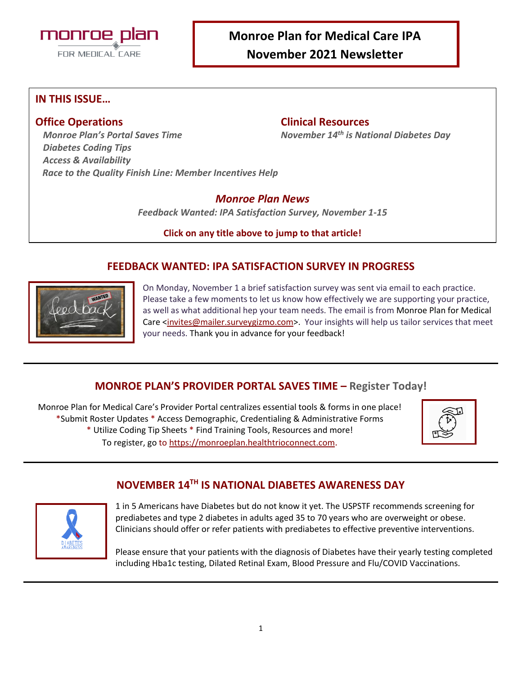

# **Monroe Plan for Medical Care IPA**

**November 2021 Newsletter**

#### **IN THIS ISSUE…**

#### **Office Operations Clinical Resources**

*Monroe Plan's Portal Saves Time November 14th is National Diabetes Day*

*Diabetes Coding Tips Access & Availability Race to the Quality Finish Line: Member Incentives Help*

#### *Monroe Plan News*

*Feedback Wanted: IPA Satisfaction Survey, November 1-15*

**Click on any title above to jump to that article!**

#### **FEEDBACK WANTED: IPA SATISFACTION SURVEY IN PROGRESS**



On Monday, November 1 a brief satisfaction survey was sent via email to each practice. Please take a few moments to let us know how effectively we are supporting your practice, as well as what additional hep your team needs. The email is from Monroe Plan for Medical Care [<invites@mailer.surveygizmo.com>](mailto:invites@mailer.surveygizmo.com). Your insights will help us tailor services that meet your needs. Thank you in advance for your feedback!

### **MONROE PLAN'S PROVIDER PORTAL SAVES TIME – Register Today!**

Monroe Plan for Medical Care's Provider Portal centralizes essential tools & forms in one place! \*Submit Roster Updates \* Access Demographic, Credentialing & Administrative Forms \* Utilize Coding Tip Sheets \* Find Training Tools, Resources and more! To register, go t[o https://monroeplan.healthtrioconnect.com](https://monroeplan.healthtrioconnect.com/).



## **NOVEMBER 14TH IS NATIONAL DIABETES AWARENESS DAY**



1 in 5 Americans have Diabetes but do not know it yet. The USPSTF recommends screening for prediabetes and type 2 diabetes in adults aged 35 to 70 years who are overweight or obese. Clinicians should offer or refer patients with prediabetes to effective preventive interventions.

Please ensure that your patients with the diagnosis of Diabetes have their yearly testing completed including Hba1c testing, Dilated Retinal Exam, Blood Pressure and Flu/COVID Vaccinations.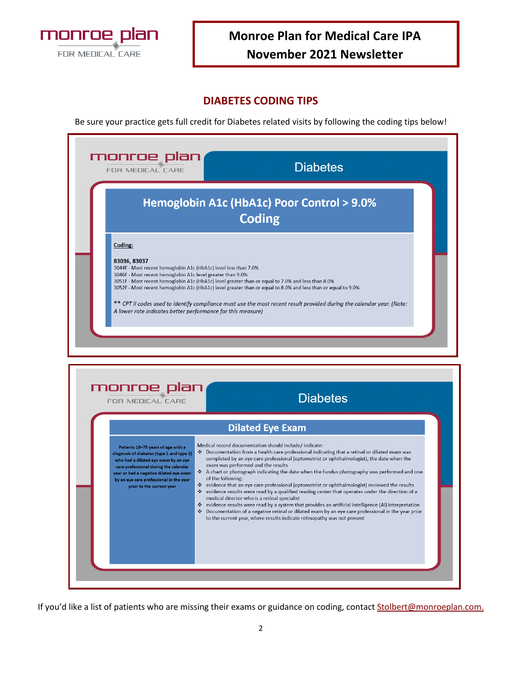

# **Monroe Plan for Medical Care IPA November 2021 Newsletter**

#### **DIABETES CODING TIPS**

Be sure your practice gets full credit for Diabetes related visits by following the coding tips below!

| FOR MEDICAL CARE                                                                                                                                                                                                        | monroe plan<br><b>Diabetes</b>                                                                                                                                                                                                                                                                                                              |
|-------------------------------------------------------------------------------------------------------------------------------------------------------------------------------------------------------------------------|---------------------------------------------------------------------------------------------------------------------------------------------------------------------------------------------------------------------------------------------------------------------------------------------------------------------------------------------|
|                                                                                                                                                                                                                         | Hemoglobin A1c (HbA1c) Poor Control > 9.0%<br><b>Coding</b>                                                                                                                                                                                                                                                                                 |
| Coding:<br>83036, 83037<br>3044F - Most recent hemoglobin A1c (HbA1c) level less than 7.0%<br>3046F - Most recent hemoglobin A1c level greater than 9.0%<br>A lower rate indicates better performance for this measure) | 8051F - Most recent hemoglobin A1c (HbA1c) level greater than or equal to 7.0% and less than 8.0%<br>3052F - Most recent hemoglobin A1c (HbA1c) level greater than or equal to 8.0% and less than or equal to 9.0%<br>** CPT II codes used to identify compliance must use the most recent result provided during the calendar year. (Note: |
|                                                                                                                                                                                                                         |                                                                                                                                                                                                                                                                                                                                             |
| monroe plan<br><b>FOR MEDICAL CARE</b>                                                                                                                                                                                  | <b>Diabetes</b><br><b>Dilated Eye Exam</b>                                                                                                                                                                                                                                                                                                  |

If you'd like a list of patients who are missing their exams or guidance on coding, contact **[Stolbert@monroeplan.com.](mailto:Stolbert@monroeplan.com)**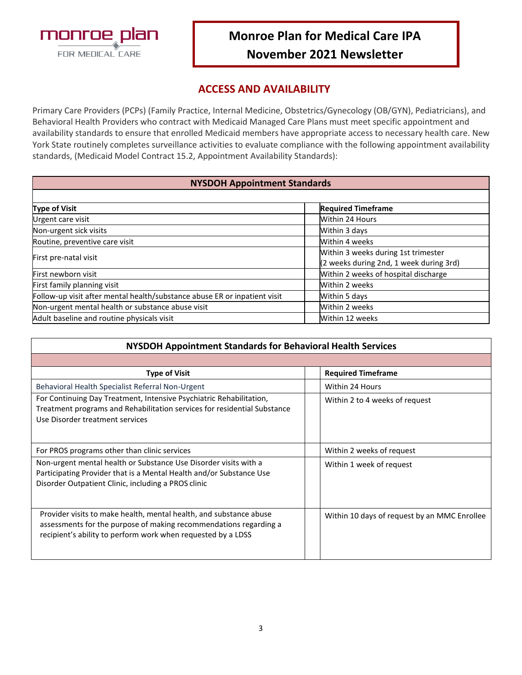

# **Monroe Plan for Medical Care IPA November 2021 Newsletter**

#### **ACCESS AND AVAILABILITY**

Primary Care Providers (PCPs) (Family Practice, Internal Medicine, Obstetrics/Gynecology (OB/GYN), Pediatricians), and Behavioral Health Providers who contract with Medicaid Managed Care Plans must meet specific appointment and availability standards to ensure that enrolled Medicaid members have appropriate access to necessary health care. New York State routinely completes surveillance activities to evaluate compliance with the following appointment availability standards, (Medicaid Model Contract 15.2, Appointment Availability Standards):

#### **NYSDOH Appointment Standards**

| <b>Type of Visit</b>                                                      | <b>Required Timeframe</b>                                                      |
|---------------------------------------------------------------------------|--------------------------------------------------------------------------------|
| Urgent care visit                                                         | <b>Within 24 Hours</b>                                                         |
| Non-urgent sick visits                                                    | Within 3 days                                                                  |
| Routine, preventive care visit                                            | Within 4 weeks                                                                 |
| First pre-natal visit                                                     | Within 3 weeks during 1st trimester<br>(2 weeks during 2nd, 1 week during 3rd) |
| First newborn visit                                                       | Within 2 weeks of hospital discharge                                           |
| First family planning visit                                               | Within 2 weeks                                                                 |
| Follow-up visit after mental health/substance abuse ER or inpatient visit | Within 5 days                                                                  |
| Non-urgent mental health or substance abuse visit                         | Within 2 weeks                                                                 |
| Adult baseline and routine physicals visit                                | Within 12 weeks                                                                |

| NYSDOH Appointment Standards for Behavioral Health Services                                                                                                                                             |  |                                              |  |  |
|---------------------------------------------------------------------------------------------------------------------------------------------------------------------------------------------------------|--|----------------------------------------------|--|--|
|                                                                                                                                                                                                         |  |                                              |  |  |
| <b>Type of Visit</b>                                                                                                                                                                                    |  | <b>Required Timeframe</b>                    |  |  |
| Behavioral Health Specialist Referral Non-Urgent                                                                                                                                                        |  | Within 24 Hours                              |  |  |
| For Continuing Day Treatment, Intensive Psychiatric Rehabilitation,<br>Treatment programs and Rehabilitation services for residential Substance<br>Use Disorder treatment services                      |  | Within 2 to 4 weeks of request               |  |  |
| For PROS programs other than clinic services                                                                                                                                                            |  | Within 2 weeks of request                    |  |  |
| Non-urgent mental health or Substance Use Disorder visits with a<br>Participating Provider that is a Mental Health and/or Substance Use<br>Disorder Outpatient Clinic, including a PROS clinic          |  | Within 1 week of request                     |  |  |
| Provider visits to make health, mental health, and substance abuse<br>assessments for the purpose of making recommendations regarding a<br>recipient's ability to perform work when requested by a LDSS |  | Within 10 days of request by an MMC Enrollee |  |  |